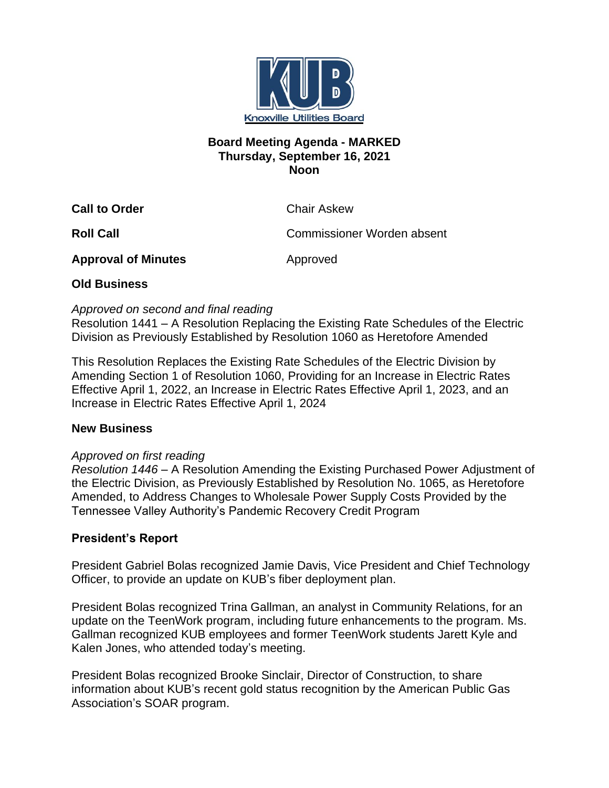

#### **Board Meeting Agenda - MARKED Thursday, September 16, 2021 Noon**

**Call to Order** Chair Askew

**Roll Call** Commissioner Worden absent

**Approval of Minutes Approved** 

## **Old Business**

#### *Approved on second and final reading*

Resolution 1441 – A Resolution Replacing the Existing Rate Schedules of the Electric Division as Previously Established by Resolution 1060 as Heretofore Amended

This Resolution Replaces the Existing Rate Schedules of the Electric Division by Amending Section 1 of Resolution 1060, Providing for an Increase in Electric Rates Effective April 1, 2022, an Increase in Electric Rates Effective April 1, 2023, and an Increase in Electric Rates Effective April 1, 2024

## **New Business**

## *Approved on first reading*

*Resolution 1446* – A Resolution Amending the Existing Purchased Power Adjustment of the Electric Division, as Previously Established by Resolution No. 1065, as Heretofore Amended, to Address Changes to Wholesale Power Supply Costs Provided by the Tennessee Valley Authority's Pandemic Recovery Credit Program

# **President's Report**

President Gabriel Bolas recognized Jamie Davis, Vice President and Chief Technology Officer, to provide an update on KUB's fiber deployment plan.

President Bolas recognized Trina Gallman, an analyst in Community Relations, for an update on the TeenWork program, including future enhancements to the program. Ms. Gallman recognized KUB employees and former TeenWork students Jarett Kyle and Kalen Jones, who attended today's meeting.

President Bolas recognized Brooke Sinclair, Director of Construction, to share information about KUB's recent gold status recognition by the American Public Gas Association's SOAR program.